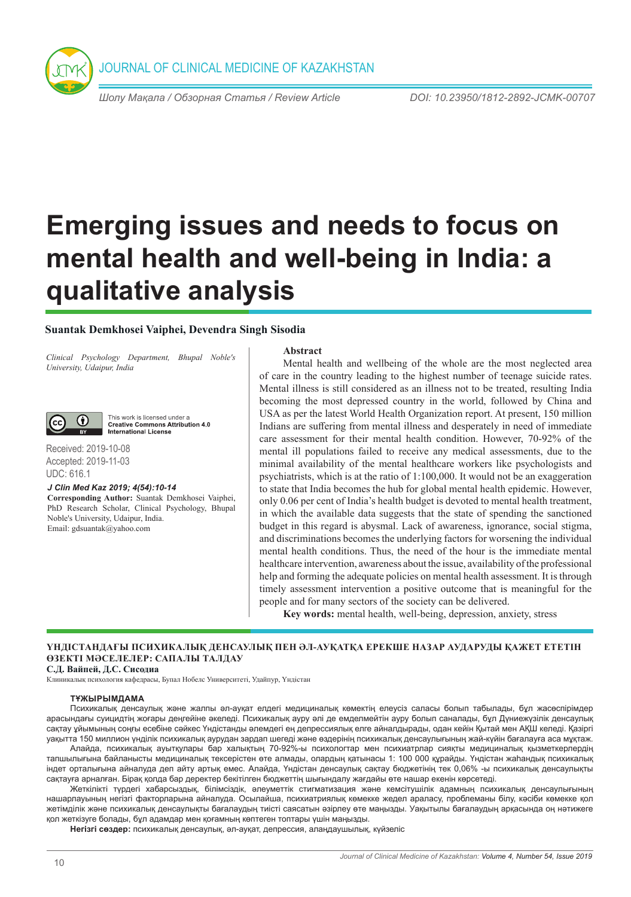JOURNAL OF CLINICAL MEDICINE OF KAZAKHSTAN

*Шолу Мақала / Обзорная Статья / Review Article DOI: 10.23950/1812-2892-JCMK-00707* 

# **Emerging issues and needs to focus on mental health and well-being in India: a qualitative analysis**

### **Suantak Demkhosei Vaiphei, Devendra Singh Sisodia**

*Clinical Psychology Department, Bhupal Noble's University, Udaipur, India*



This work is licensed under a **Creative Commons Attribution 4.0 International License** 

Received: 2019-10-08 Accepted: 2019-11-03 UDC: 616.1

*J Clin Med Kaz 2019; 4(54):10-14*

**Corresponding Author:** Suantak Demkhosei Vaiphei, PhD Research Scholar, Clinical Psychology, Bhupal Noble's University, Udaipur, India. Email: gdsuantak@yahoo.com

#### **Abstract**

Mental health and wellbeing of the whole are the most neglected area of care in the country leading to the highest number of teenage suicide rates. Mental illness is still considered as an illness not to be treated, resulting India becoming the most depressed country in the world, followed by China and USA as per the latest World Health Organization report. At present, 150 million Indians are suffering from mental illness and desperately in need of immediate care assessment for their mental health condition. However, 70-92% of the mental ill populations failed to receive any medical assessments, due to the minimal availability of the mental healthcare workers like psychologists and psychiatrists, which is at the ratio of 1:100,000. It would not be an exaggeration to state that India becomes the hub for global mental health epidemic. However, only 0.06 per cent of India's health budget is devoted to mental health treatment, in which the available data suggests that the state of spending the sanctioned budget in this regard is abysmal. Lack of awareness, ignorance, social stigma, and discriminations becomes the underlying factors for worsening the individual mental health conditions. Thus, the need of the hour is the immediate mental healthcare intervention, awareness about the issue, availability of the professional help and forming the adequate policies on mental health assessment. It is through timely assessment intervention a positive outcome that is meaningful for the people and for many sectors of the society can be delivered.

**Key words:** mental health, well-being, depression, anxiety, stress

## **ҮНДІСТАНДАҒЫ ПСИХИКАЛЫҚ ДЕНСАУЛЫҚ ПЕН ӘЛ-АУҚАТҚА ЕРЕКШЕ НАЗАР АУДАРУДЫ ҚАЖЕТ ЕТЕТІН ӨЗЕКТІ МӘСЕЛЕЛЕР: САПАЛЫ ТАЛДАУ**

**С.Д. Вайпей, Д.С. Сисодиа** 

Клиникалық психология кафедрасы, Бупал Нобелс Университеті, Удайпур, Үндістан

#### **ТҰЖЫРЫМДАМА**

Психикалық денсаулық және жалпы әл-ауқат елдегі медициналық көмектің елеусіз саласы болып табылады, бұл жасөспірімдер арасындағы суицидтің жоғары деңгейіне әкеледі. Психикалық ауру әлі де емделмейтін ауру болып саналады, бұл Дүниежүзілік денсаулық сақтау ұйымының соңғы есебіне сәйкес Үндістанды әлемдегі ең депрессиялық елге айналдырады, одан кейін Қытай мен АҚШ келеді. Қазіргі уақытта 150 миллион үнділік психикалық аурудан зардап шегеді және өздерінің психикалық денсаулығының жай-күйін бағалауға аса мұқтаж.

Алайда, психикалық ауытқулары бар халықтың 70-92%-ы психологтар мен психиатрлар сияқты медициналық қызметкерлердің тапшылығына байланысты медициналық тексерістен өте алмады, олардың қатынасы 1: 100 000 құрайды. Үндістан жаһандық психикалық індет орталығына айналуда деп айту артық емес. Алайда, Үндістан денсаулық сақтау бюджетінің тек 0,06% -ы психикалық денсаулықты сақтауға арналған. Бірақ қолда бар деректер бекітілген бюджеттің шығындалу жағдайы өте нашар екенін көрсетеді.

Жеткілікті түрдегі хабарсыздық, білімсіздік, әлеуметтік стигматизация және кемсітушілік адамның психикалық денсаулығының нашарлауының негізгі факторларына айналуда. Осылайша, психиатриялық көмекке жедел араласу, проблеманы білу, кәсіби көмекке қол жетімділік және психикалық денсаулықты бағалаудың тиісті саясатын әзірлеу өте маңызды. Уақытылы бағалаудың арқасында оң нәтижеге қол жеткізуге болады, бұл адамдар мен қоғамның көптеген топтары үшін маңызды.

**Негізгі сөздер:** психикалық денсаулық, әл-ауқат, депрессия, алаңдаушылық, күйзеліс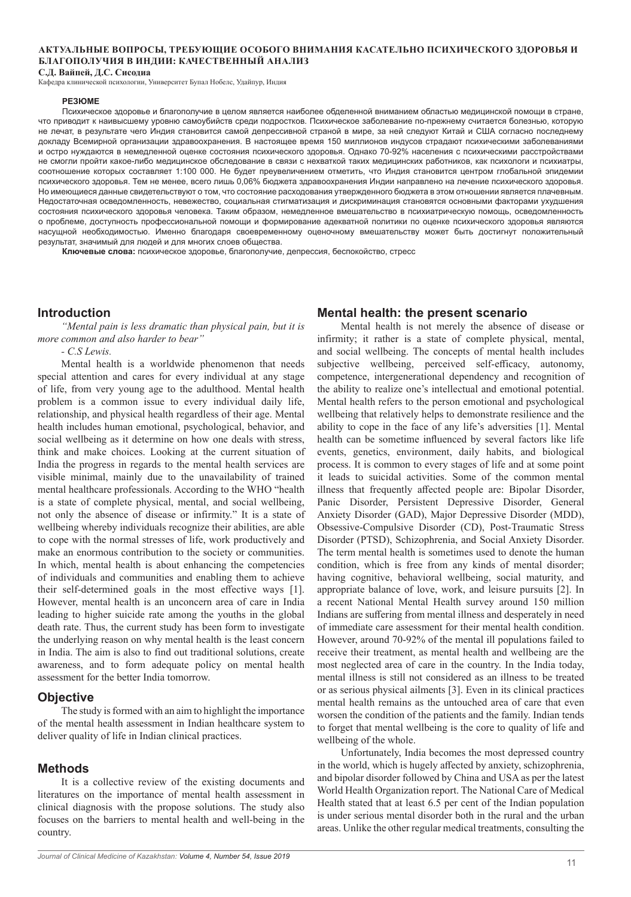#### **АКТУАЛЬНЫЕ ВОПРОСЫ, ТРЕБУЮЩИЕ ОСОБОГО ВНИМАНИЯ КАСАТЕЛЬНО ПСИХИЧЕСКОГО ЗДОРОВЬЯ И БЛАГОПОЛУЧИЯ В ИНДИИ: КАЧЕСТВЕННЫЙ АНАЛИЗ С.Д. Вайпей, Д.С. Сисодиа**

Кафедра клинической психологии, Университет Бупал Нобелс, Удайпур, Индия

#### **РЕЗЮМЕ**

Психическое здоровье и благополучие в целом является наиболее обделенной вниманием областью медицинской помощи в стране, что приводит к наивысшему уровню самоубийств среди подростков. Психическое заболевание по-прежнему считается болезнью, которую не лечат, в результате чего Индия становится самой депрессивной страной в мире, за ней следуют Китай и США согласно последнему докладу Всемирной организации здравоохранения. В настоящее время 150 миллионов индусов страдают психическими заболеваниями и остро нуждаются в немедленной оценке состояния психического здоровья. Однако 70-92% населения с психическими расстройствами не смогли пройти какое-либо медицинское обследование в связи с нехваткой таких медицинских работников, как психологи и психиатры, соотношение которых составляет 1:100 000. Не будет преувеличением отметить, что Индия становится центром глобальной эпидемии психического здоровья. Тем не менее, всего лишь 0,06% бюджета здравоохранения Индии направлено на лечение психического здоровья. Но имеющиеся данные свидетельствуют о том, что состояние расходования утвержденного бюджета в этом отношении является плачевным. Недостаточная осведомленность, невежество, социальная стигматизация и дискриминация становятся основными факторами ухудшения состояния психического здоровья человека. Таким образом, немедленное вмешательство в психиатрическую помощь, осведомленность о проблеме, доступность профессиональной помощи и формирование адекватной политики по оценке психического здоровья являются насущной необходимостью. Именно благодаря своевременному оценочному вмешательству может быть достигнут положительный результат, значимый для людей и для многих слоев общества.

**Ключевые слова:** психическое здоровье, благополучие, депрессия, беспокойство, стресс

#### **Introduction**

*"Mental pain is less dramatic than physical pain, but it is more common and also harder to bear"*

*- C.S Lewis.*

Mental health is a worldwide phenomenon that needs special attention and cares for every individual at any stage of life, from very young age to the adulthood. Mental health problem is a common issue to every individual daily life, relationship, and physical health regardless of their age. Mental health includes human emotional, psychological, behavior, and social wellbeing as it determine on how one deals with stress, think and make choices. Looking at the current situation of India the progress in regards to the mental health services are visible minimal, mainly due to the unavailability of trained mental healthcare professionals. According to the WHO "health is a state of complete physical, mental, and social wellbeing, not only the absence of disease or infirmity." It is a state of wellbeing whereby individuals recognize their abilities, are able to cope with the normal stresses of life, work productively and make an enormous contribution to the society or communities. In which, mental health is about enhancing the competencies of individuals and communities and enabling them to achieve their self-determined goals in the most effective ways [1]. However, mental health is an unconcern area of care in India leading to higher suicide rate among the youths in the global death rate. Thus, the current study has been form to investigate the underlying reason on why mental health is the least concern in India. The aim is also to find out traditional solutions, create awareness, and to form adequate policy on mental health assessment for the better India tomorrow.

#### **Objective**

The study is formed with an aim to highlight the importance of the mental health assessment in Indian healthcare system to deliver quality of life in Indian clinical practices.

#### **Methods**

It is a collective review of the existing documents and literatures on the importance of mental health assessment in clinical diagnosis with the propose solutions. The study also focuses on the barriers to mental health and well-being in the country.

#### **Mental health: the present scenario**

Mental health is not merely the absence of disease or infirmity; it rather is a state of complete physical, mental, and social wellbeing. The concepts of mental health includes subjective wellbeing, perceived self-efficacy, autonomy, competence, intergenerational dependency and recognition of the ability to realize one's intellectual and emotional potential. Mental health refers to the person emotional and psychological wellbeing that relatively helps to demonstrate resilience and the ability to cope in the face of any life's adversities [1]. Mental health can be sometime influenced by several factors like life events, genetics, environment, daily habits, and biological process. It is common to every stages of life and at some point it leads to suicidal activities. Some of the common mental illness that frequently affected people are: Bipolar Disorder, Panic Disorder, Persistent Depressive Disorder, General Anxiety Disorder (GAD), Major Depressive Disorder (MDD), Obsessive-Compulsive Disorder (CD), Post-Traumatic Stress Disorder (PTSD), Schizophrenia, and Social Anxiety Disorder. The term mental health is sometimes used to denote the human condition, which is free from any kinds of mental disorder; having cognitive, behavioral wellbeing, social maturity, and appropriate balance of love, work, and leisure pursuits [2]. In a recent National Mental Health survey around 150 million Indians are suffering from mental illness and desperately in need of immediate care assessment for their mental health condition. However, around 70-92% of the mental ill populations failed to receive their treatment, as mental health and wellbeing are the most neglected area of care in the country. In the India today, mental illness is still not considered as an illness to be treated or as serious physical ailments [3]. Even in its clinical practices mental health remains as the untouched area of care that even worsen the condition of the patients and the family. Indian tends to forget that mental wellbeing is the core to quality of life and wellbeing of the whole.

Unfortunately, India becomes the most depressed country in the world, which is hugely affected by anxiety, schizophrenia, and bipolar disorder followed by China and USA as per the latest World Health Organization report. The National Care of Medical Health stated that at least 6.5 per cent of the Indian population is under serious mental disorder both in the rural and the urban areas. Unlike the other regular medical treatments, consulting the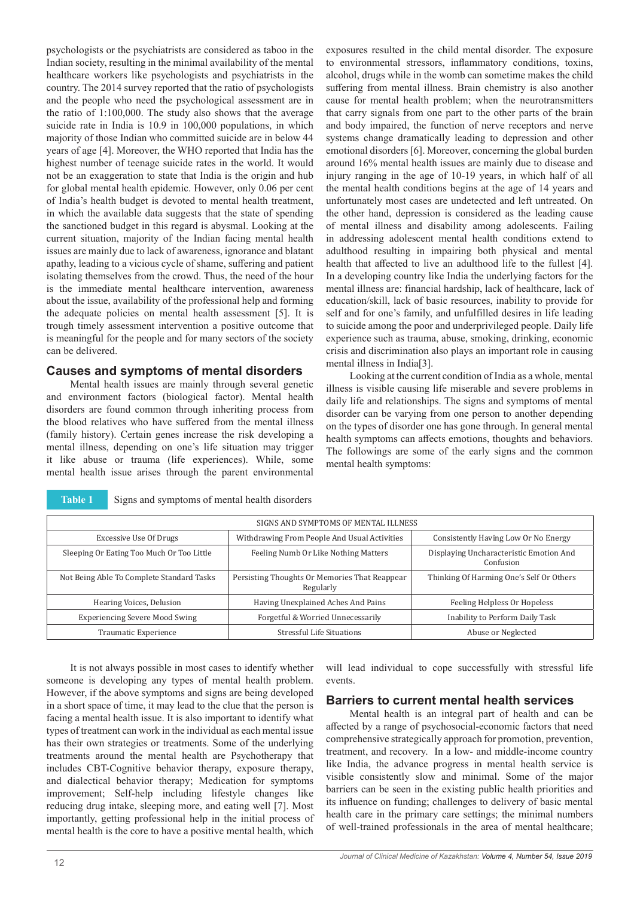psychologists or the psychiatrists are considered as taboo in the Indian society, resulting in the minimal availability of the mental healthcare workers like psychologists and psychiatrists in the country. The 2014 survey reported that the ratio of psychologists and the people who need the psychological assessment are in the ratio of 1:100,000. The study also shows that the average suicide rate in India is 10.9 in 100,000 populations, in which majority of those Indian who committed suicide are in below 44 years of age [4]. Moreover, the WHO reported that India has the highest number of teenage suicide rates in the world. It would not be an exaggeration to state that India is the origin and hub for global mental health epidemic. However, only 0.06 per cent of India's health budget is devoted to mental health treatment, in which the available data suggests that the state of spending the sanctioned budget in this regard is abysmal. Looking at the current situation, majority of the Indian facing mental health issues are mainly due to lack of awareness, ignorance and blatant apathy, leading to a vicious cycle of shame, suffering and patient isolating themselves from the crowd. Thus, the need of the hour is the immediate mental healthcare intervention, awareness about the issue, availability of the professional help and forming the adequate policies on mental health assessment [5]. It is trough timely assessment intervention a positive outcome that is meaningful for the people and for many sectors of the society can be delivered.

### **Causes and symptoms of mental disorders**

Mental health issues are mainly through several genetic and environment factors (biological factor). Mental health disorders are found common through inheriting process from the blood relatives who have suffered from the mental illness (family history). Certain genes increase the risk developing a mental illness, depending on one's life situation may trigger it like abuse or trauma (life experiences). While, some mental health issue arises through the parent environmental

**Table 1** Signs and symptoms of mental health disorders

exposures resulted in the child mental disorder. The exposure to environmental stressors, inflammatory conditions, toxins, alcohol, drugs while in the womb can sometime makes the child suffering from mental illness. Brain chemistry is also another cause for mental health problem; when the neurotransmitters that carry signals from one part to the other parts of the brain and body impaired, the function of nerve receptors and nerve systems change dramatically leading to depression and other emotional disorders [6]. Moreover, concerning the global burden around 16% mental health issues are mainly due to disease and injury ranging in the age of 10-19 years, in which half of all the mental health conditions begins at the age of 14 years and unfortunately most cases are undetected and left untreated. On the other hand, depression is considered as the leading cause of mental illness and disability among adolescents. Failing in addressing adolescent mental health conditions extend to adulthood resulting in impairing both physical and mental health that affected to live an adulthood life to the fullest [4]. In a developing country like India the underlying factors for the mental illness are: financial hardship, lack of healthcare, lack of education/skill, lack of basic resources, inability to provide for self and for one's family, and unfulfilled desires in life leading to suicide among the poor and underprivileged people. Daily life experience such as trauma, abuse, smoking, drinking, economic crisis and discrimination also plays an important role in causing mental illness in India[3].

Looking at the current condition of India as a whole, mental illness is visible causing life miserable and severe problems in daily life and relationships. The signs and symptoms of mental disorder can be varying from one person to another depending on the types of disorder one has gone through. In general mental health symptoms can affects emotions, thoughts and behaviors. The followings are some of the early signs and the common mental health symptoms:

| SIGNS AND SYMPTOMS OF MENTAL ILLNESS      |                                                            |                                                      |
|-------------------------------------------|------------------------------------------------------------|------------------------------------------------------|
| Excessive Use Of Drugs                    | Withdrawing From People And Usual Activities               | Consistently Having Low Or No Energy                 |
| Sleeping Or Eating Too Much Or Too Little | Feeling Numb Or Like Nothing Matters                       | Displaying Uncharacteristic Emotion And<br>Confusion |
| Not Being Able To Complete Standard Tasks | Persisting Thoughts Or Memories That Reappear<br>Regularly | Thinking Of Harming One's Self Or Others             |
| Hearing Voices, Delusion                  | Having Unexplained Aches And Pains                         | Feeling Helpless Or Hopeless                         |
| <b>Experiencing Severe Mood Swing</b>     | Forgetful & Worried Unnecessarily                          | Inability to Perform Daily Task                      |
| Traumatic Experience                      | Stressful Life Situations                                  | Abuse or Neglected                                   |

It is not always possible in most cases to identify whether someone is developing any types of mental health problem. However, if the above symptoms and signs are being developed in a short space of time, it may lead to the clue that the person is facing a mental health issue. It is also important to identify what types of treatment can work in the individual as each mental issue has their own strategies or treatments. Some of the underlying treatments around the mental health are Psychotherapy that includes CBT-Cognitive behavior therapy, exposure therapy, and dialectical behavior therapy; Medication for symptoms improvement; Self-help including lifestyle changes like reducing drug intake, sleeping more, and eating well [7]. Most importantly, getting professional help in the initial process of mental health is the core to have a positive mental health, which

will lead individual to cope successfully with stressful life events.

### **Barriers to current mental health services**

Mental health is an integral part of health and can be affected by a range of psychosocial-economic factors that need comprehensive strategically approach for promotion, prevention, treatment, and recovery. In a low- and middle-income country like India, the advance progress in mental health service is visible consistently slow and minimal. Some of the major barriers can be seen in the existing public health priorities and its influence on funding; challenges to delivery of basic mental health care in the primary care settings; the minimal numbers of well-trained professionals in the area of mental healthcare;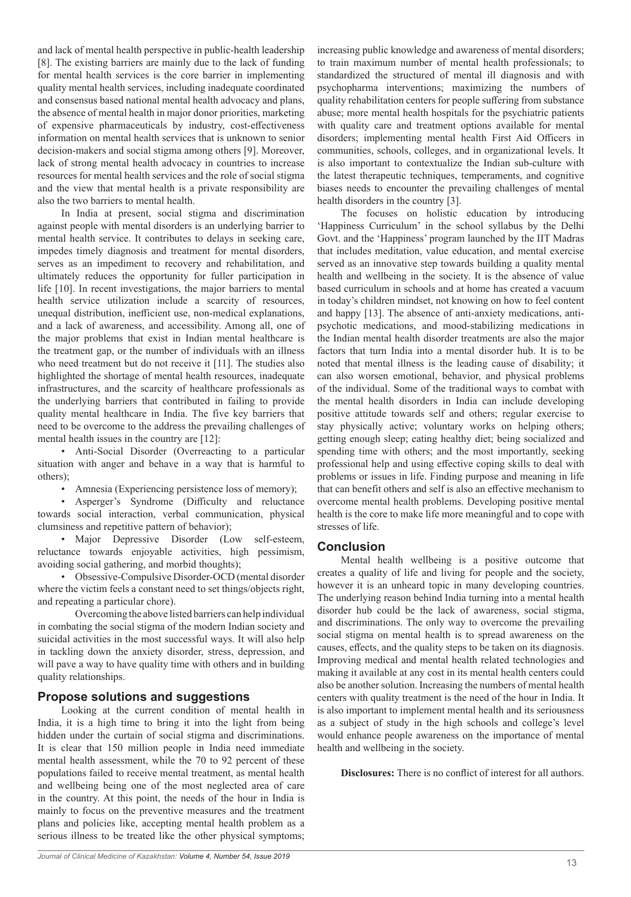and lack of mental health perspective in public-health leadership [8]. The existing barriers are mainly due to the lack of funding for mental health services is the core barrier in implementing quality mental health services, including inadequate coordinated and consensus based national mental health advocacy and plans, the absence of mental health in major donor priorities, marketing of expensive pharmaceuticals by industry, cost-effectiveness information on mental health services that is unknown to senior decision-makers and social stigma among others [9]. Moreover, lack of strong mental health advocacy in countries to increase resources for mental health services and the role of social stigma and the view that mental health is a private responsibility are also the two barriers to mental health.

In India at present, social stigma and discrimination against people with mental disorders is an underlying barrier to mental health service. It contributes to delays in seeking care, impedes timely diagnosis and treatment for mental disorders, serves as an impediment to recovery and rehabilitation, and ultimately reduces the opportunity for fuller participation in life [10]. In recent investigations, the major barriers to mental health service utilization include a scarcity of resources, unequal distribution, inefficient use, non-medical explanations, and a lack of awareness, and accessibility. Among all, one of the major problems that exist in Indian mental healthcare is the treatment gap, or the number of individuals with an illness who need treatment but do not receive it [11]. The studies also highlighted the shortage of mental health resources, inadequate infrastructures, and the scarcity of healthcare professionals as the underlying barriers that contributed in failing to provide quality mental healthcare in India. The five key barriers that need to be overcome to the address the prevailing challenges of mental health issues in the country are [12]:

• Anti-Social Disorder (Overreacting to a particular situation with anger and behave in a way that is harmful to others);

Amnesia (Experiencing persistence loss of memory);

• Asperger's Syndrome (Difficulty and reluctance towards social interaction, verbal communication, physical clumsiness and repetitive pattern of behavior);

• Major Depressive Disorder (Low self-esteem, reluctance towards enjoyable activities, high pessimism, avoiding social gathering, and morbid thoughts);

• Obsessive-Compulsive Disorder-OCD (mental disorder where the victim feels a constant need to set things/objects right, and repeating a particular chore).

Overcoming the above listed barriers can help individual in combating the social stigma of the modern Indian society and suicidal activities in the most successful ways. It will also help in tackling down the anxiety disorder, stress, depression, and will pave a way to have quality time with others and in building quality relationships.

## **Propose solutions and suggestions**

Looking at the current condition of mental health in India, it is a high time to bring it into the light from being hidden under the curtain of social stigma and discriminations. It is clear that 150 million people in India need immediate mental health assessment, while the 70 to 92 percent of these populations failed to receive mental treatment, as mental health and wellbeing being one of the most neglected area of care in the country. At this point, the needs of the hour in India is mainly to focus on the preventive measures and the treatment plans and policies like, accepting mental health problem as a serious illness to be treated like the other physical symptoms;

increasing public knowledge and awareness of mental disorders; to train maximum number of mental health professionals; to standardized the structured of mental ill diagnosis and with psychopharma interventions; maximizing the numbers of quality rehabilitation centers for people suffering from substance abuse; more mental health hospitals for the psychiatric patients with quality care and treatment options available for mental disorders; implementing mental health First Aid Officers in communities, schools, colleges, and in organizational levels. It is also important to contextualize the Indian sub-culture with the latest therapeutic techniques, temperaments, and cognitive biases needs to encounter the prevailing challenges of mental health disorders in the country [3].

The focuses on holistic education by introducing 'Happiness Curriculum' in the school syllabus by the Delhi Govt. and the 'Happiness' program launched by the IIT Madras that includes meditation, value education, and mental exercise served as an innovative step towards building a quality mental health and wellbeing in the society. It is the absence of value based curriculum in schools and at home has created a vacuum in today's children mindset, not knowing on how to feel content and happy [13]. The absence of anti-anxiety medications, antipsychotic medications, and mood-stabilizing medications in the Indian mental health disorder treatments are also the major factors that turn India into a mental disorder hub. It is to be noted that mental illness is the leading cause of disability; it can also worsen emotional, behavior, and physical problems of the individual. Some of the traditional ways to combat with the mental health disorders in India can include developing positive attitude towards self and others; regular exercise to stay physically active; voluntary works on helping others; getting enough sleep; eating healthy diet; being socialized and spending time with others; and the most importantly, seeking professional help and using effective coping skills to deal with problems or issues in life. Finding purpose and meaning in life that can benefit others and self is also an effective mechanism to overcome mental health problems. Developing positive mental health is the core to make life more meaningful and to cope with stresses of life.

#### **Conclusion**

Mental health wellbeing is a positive outcome that creates a quality of life and living for people and the society, however it is an unheard topic in many developing countries. The underlying reason behind India turning into a mental health disorder hub could be the lack of awareness, social stigma, and discriminations. The only way to overcome the prevailing social stigma on mental health is to spread awareness on the causes, effects, and the quality steps to be taken on its diagnosis. Improving medical and mental health related technologies and making it available at any cost in its mental health centers could also be another solution. Increasing the numbers of mental health centers with quality treatment is the need of the hour in India. It is also important to implement mental health and its seriousness as a subject of study in the high schools and college's level would enhance people awareness on the importance of mental health and wellbeing in the society.

**Disclosures:** There is no conflict of interest for all authors.